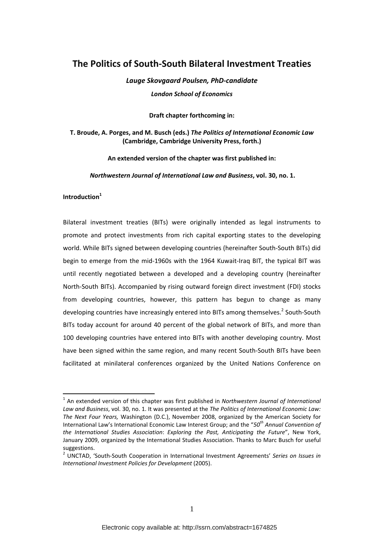# **The Politics of South‐South Bilateral Investment Treaties**

*Lauge Skovgaard Poulsen, PhD‐candidate London School of Economics*

**Draft chapter forthcoming in:**

## **T. Broude, A. Porges, and M. Busch (eds.)** *The Politics of International Economic Law* **(Cambridge, Cambridge University Press, forth.)**

**An extended version of the chapter was first published in:**

*Northwestern Journal of International Law and Business***, vol. 30, no. 1.**

## **Introduction<sup>1</sup>**

1

Bilateral investment treaties (BITs) were originally intended as legal instruments to promote and protect investments from rich capital exporting states to the developing world. While BITs signed between developing countries (hereinafter South‐South BITs) did begin to emerge from the mid‐1960s with the 1964 Kuwait‐Iraq BIT, the typical BIT was until recently negotiated between a developed and a developing country (hereinafter North‐South BITs). Accompanied by rising outward foreign direct investment (FDI) stocks from developing countries, however, this pattern has begun to change as many developing countries have increasingly entered into BITs among themselves.<sup>2</sup> South-South BITs today account for around 40 percent of the global network of BITs, and more than 100 developing countries have entered into BITs with another developing country. Most have been signed within the same region, and many recent South‐South BITs have been facilitated at minilateral conferences organized by the United Nations Conference on

<sup>1</sup> An extended version of this chapter was first published in *Northwestern Journal of International Law and Business*, vol. 30, no. 1. It was presented at the *The Politics of International Economic Law: The Next Four Years,* Washington (D.C.), November 2008, organized by the American Society for International Law's International Economic Law Interest Group; and the "*50th Annual Convention of the International Studies Association*: *Exploring the Past, Anticipating the Future*", New York, January 2009, organized by the International Studies Association. Thanks to Marc Busch for useful suggestions. <sup>2</sup> UNCTAD, 'South‐South Cooperation in International Investment Agreements' *Series on Issues in*

*International Investment Policies for Development* (2005).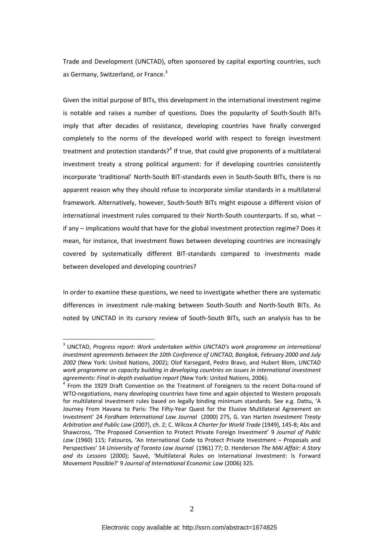Trade and Development (UNCTAD), often sponsored by capital exporting countries, such as Germany, Switzerland, or France.<sup>3</sup>

Given the initial purpose of BITs, this development in the international investment regime is notable and raises a number of questions. Does the popularity of South‐South BITs imply that after decades of resistance, developing countries have finally converged completely to the norms of the developed world with respect to foreign investment treatment and protection standards?<sup>4</sup> If true, that could give proponents of a multilateral investment treaty a strong political argument: for if developing countries consistently incorporate 'traditional' North‐South BIT‐standards even in South‐South BITs, there is no apparent reason why they should refuse to incorporate similar standards in a multilateral framework. Alternatively, however, South‐South BITs might espouse a different vision of international investment rules compared to their North-South counterparts. If so, what if any – implications would that have for the global investment protection regime? Does it mean, for instance, that investment flows between developing countries are increasingly covered by systematically different BIT‐standards compared to investments made between developed and developing countries?

In order to examine these questions, we need to investigate whether there are systematic differences in investment rule‐making between South‐South and North‐South BITs. As noted by UNCTAD in its cursory review of South‐South BITs, such an analysis has to be

<sup>3</sup> UNCTAD, *Progress report: Work undertaken within UNCTAD's work programme on international investment agreements between the 10th Conference of UNCTAD, Bangkok, February 2000 and July 2002* (New York: United Nations, 2002); Olof Karsegard, Pedro Bravo, and Hubert Blom, *UNCTAD work programme on capacity building in developing countries on issues in international investment agreements: Final in‐depth evaluation report* (New York: United Nations, 2006). <sup>4</sup> From the <sup>1929</sup> Draft Convention on the Treatment of Foreigners to the recent Doha‐round of

WTO-negotiations, many developing countries have time and again objected to Western proposals for multilateral investment rules based on legally binding minimum standards. See e.g. Dattu, 'A Journey From Havana to Paris: The Fifty‐Year Quest for the Elusive Multilateral Agreement on Investment' 24 *Fordham International Law Journal* (2000) 275, G. Van Harten *Investment Treaty Arbitration and Public Law* (2007), ch. 2; C. Wilcox *A Charter for World Trade* (1949), 145‐8; Abs and Shawcross, 'The Proposed Convention to Protect Private Foreign Investment' 9 *Journal of Public Law* (1960) 115; Fatouros, 'An International Code to Protect Private Investment – Proposals and Perspectives' 14 *University of Toronto Law Journal* (1961) 77; D. Henderson *The MAI Affair: A Story and its Lessons* (2000); Sauvé, 'Multilateral Rules on International Investment: Is Forward Movement Possible?' 9 *Journal of International Economic Law* (2006) 325.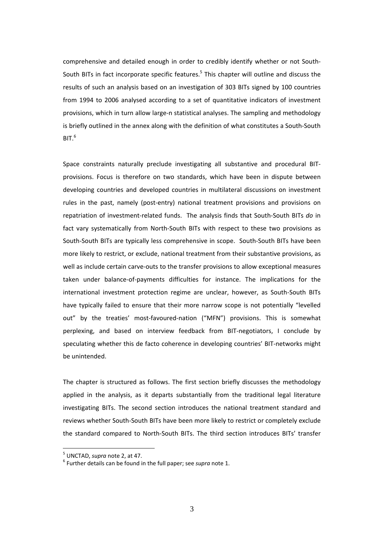comprehensive and detailed enough in order to credibly identify whether or not South‐ South BITs in fact incorporate specific features.<sup>5</sup> This chapter will outline and discuss the results of such an analysis based on an investigation of 303 BITs signed by 100 countries from 1994 to 2006 analysed according to a set of quantitative indicators of investment provisions, which in turn allow large-n statistical analyses. The sampling and methodology is briefly outlined in the annex along with the definition of what constitutes a South‐South BIT. $^6$ 

Space constraints naturally preclude investigating all substantive and procedural BIT‐ provisions. Focus is therefore on two standards, which have been in dispute between developing countries and developed countries in multilateral discussions on investment rules in the past, namely (post-entry) national treatment provisions and provisions on repatriation of investment‐related funds. The analysis finds that South‐South BITs *do* in fact vary systematically from North‐South BITs with respect to these two provisions as South‐South BITs are typically less comprehensive in scope. South‐South BITs have been more likely to restrict, or exclude, national treatment from their substantive provisions, as well as include certain carve-outs to the transfer provisions to allow exceptional measures taken under balance‐of‐payments difficulties for instance. The implications for the international investment protection regime are unclear, however, as South‐South BITs have typically failed to ensure that their more narrow scope is not potentially "levelled out" by the treaties' most-favoured-nation ("MFN") provisions. This is somewhat perplexing, and based on interview feedback from BIT-negotiators, I conclude by speculating whether this de facto coherence in developing countries' BIT-networks might be unintended.

The chapter is structured as follows. The first section briefly discusses the methodology applied in the analysis, as it departs substantially from the traditional legal literature investigating BITs. The second section introduces the national treatment standard and reviews whether South‐South BITs have been more likely to restrict or completely exclude the standard compared to North‐South BITs. The third section introduces BITs' transfer

<sup>&</sup>lt;sup>5</sup> UNCTAD, *supra* note 2, at 47.<br><sup>6</sup> Further details can be found in the full paper; see *supra* note 1.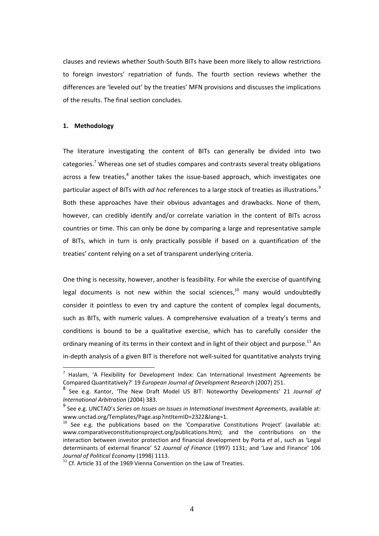clauses and reviews whether South‐South BITs have been more likely to allow restrictions to foreign investors' repatriation of funds. The fourth section reviews whether the differences are 'leveled out' by the treaties' MFN provisions and discusses the implications of the results. The final section concludes.

### **1. Methodology**

<u>.</u>

The literature investigating the content of BITs can generally be divided into two categories.<sup>7</sup> Whereas one set of studies compares and contrasts several treaty obligations across a few treaties, $^8$  another takes the issue-based approach, which investigates one particular aspect of BITs with *ad hoc* references to a large stock of treaties as illustrations.<sup>9</sup> Both these approaches have their obvious advantages and drawbacks. None of them, however, can credibly identify and/or correlate variation in the content of BITs across countries or time. This can only be done by comparing a large and representative sample of BITs, which in turn is only practically possible if based on a quantification of the treaties' content relying on a set of transparent underlying criteria.

One thing is necessity, however, another is feasibility. For while the exercise of quantifying legal documents is not new within the social sciences, $10$  many would undoubtedly consider it pointless to even try and capture the content of complex legal documents, such as BITs, with numeric values. A comprehensive evaluation of a treaty's terms and conditions is bound to be a qualitative exercise, which has to carefully consider the ordinary meaning of its terms in their context and in light of their object and purpose.<sup>11</sup> An in-depth analysis of a given BIT is therefore not well-suited for quantitative analysts trying

 $<sup>7</sup>$  Haslam, 'A Flexibility for Development Index: Can International Investment Agreements be</sup> Compared Quantitatively?' 19 *European Journal of Development Research* (2007) 251.

<sup>8</sup> See e.g. Kantor, 'The New Draft Model US BIT: Noteworthy Developments' 21 *Journal of International Arbitration* (2004) 383.

<sup>9</sup> See e.g. UNCTAD's *Series on Issues on Issues in International Investment Agreements*, available at: www.unctad.org/Templates/Page.asp?intItemID=2322&lang=1.<br><sup>10</sup> See e.g. the publications based on the 'Comparative Constitutions Project' (available at:

www.comparativeconstitutionsproject.org/publications.htm); and the contributions on the interaction between investor protection and financial development by Porta *et al.*, such as 'Legal determinants of external finance' 52 *Journal of Finance* (1997) 1131; and 'Law and Finance' 106

<sup>&</sup>lt;sup>11</sup> Cf. Article 31 of the 1969 Vienna Convention on the Law of Treaties.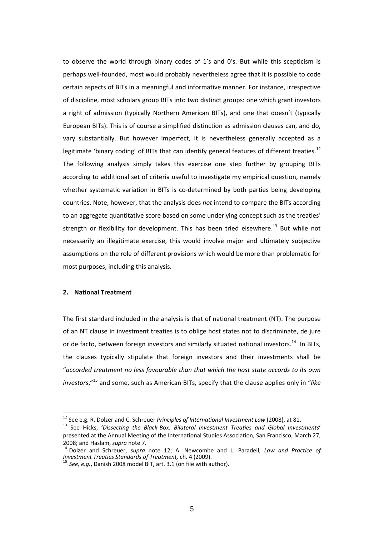to observe the world through binary codes of 1's and 0's. But while this scepticism is perhaps well‐founded, most would probably nevertheless agree that it is possible to code certain aspects of BITs in a meaningful and informative manner. For instance, irrespective of discipline, most scholars group BITs into two distinct groups: one which grant investors a right of admission (typically Northern American BITs), and one that doesn't (typically European BITs). This is of course a simplified distinction as admission clauses can, and do, vary substantially. But however imperfect, it is nevertheless generally accepted as a legitimate 'binary coding' of BITs that can identify general features of different treaties.<sup>12</sup> The following analysis simply takes this exercise one step further by grouping BITs according to additional set of criteria useful to investigate my empirical question, namely whether systematic variation in BITs is co-determined by both parties being developing countries. Note, however, that the analysis does *not* intend to compare the BITs according to an aggregate quantitative score based on some underlying concept such as the treaties' strength or flexibility for development. This has been tried elsewhere.<sup>13</sup> But while not necessarily an illegitimate exercise, this would involve major and ultimately subjective assumptions on the role of different provisions which would be more than problematic for most purposes, including this analysis.

## **2. National Treatment**

1

The first standard included in the analysis is that of national treatment (NT). The purpose of an NT clause in investment treaties is to oblige host states not to discriminate, de jure or de facto, between foreign investors and similarly situated national investors.<sup>14</sup> In BITs. the clauses typically stipulate that foreign investors and their investments shall be "*accorded treatment no less favourable than that which the host state accords to its own investors*,"<sup>15</sup> and some, such as American BITs, specify that the clause applies only in "*like*

<sup>&</sup>lt;sup>12</sup> See e.g. R. Dolzer and C. Schreuer *Principles of International Investment Law* (2008), at 81.<br><sup>13</sup> See Hicks, *'Dissecting the Black-Box: Bilateral Investment Treaties and Global Investments'* presented at the Annual Meeting of the International Studies Association, San Francisco, March 27,

<sup>2008;</sup> and Haslam, *supra* note 7.<br><sup>14</sup> Dolzer and Schreuer, *supra* note 12; A. Newcombe and L. Paradell, *Law and Practice of*<br>*Investment Treaties Standards of Treatment*, ch. 4 (2009).

*Investment Treaties Standards of Treatment,* ch. <sup>4</sup> (2009). <sup>15</sup> *See, e.g.*, Danish <sup>2008</sup> model BIT, art. 3.1 (on file with author).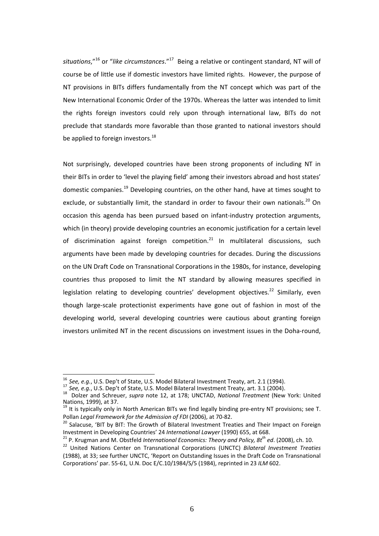*situations*,"<sup>16</sup> or "*like circumstances*."<sup>17</sup> Being a relative or contingent standard, NT will of course be of little use if domestic investors have limited rights. However, the purpose of NT provisions in BITs differs fundamentally from the NT concept which was part of the New International Economic Order of the 1970s. Whereas the latter was intended to limit the rights foreign investors could rely upon through international law, BITs do not preclude that standards more favorable than those granted to national investors should be applied to foreign investors.<sup>18</sup>

Not surprisingly, developed countries have been strong proponents of including NT in their BITs in order to 'level the playing field' among their investors abroad and host states' domestic companies.<sup>19</sup> Developing countries, on the other hand, have at times sought to exclude, or substantially limit, the standard in order to favour their own nationals.<sup>20</sup> On occasion this agenda has been pursued based on infant‐industry protection arguments, which (in theory) provide developing countries an economic justification for a certain level of discrimination against foreign competition. $^{21}$  In multilateral discussions, such arguments have been made by developing countries for decades. During the discussions on the UN Draft Code on Transnational Corporations in the 1980s, for instance, developing countries thus proposed to limit the NT standard by allowing measures specified in legislation relating to developing countries' development objectives.<sup>22</sup> Similarly, even though large‐scale protectionist experiments have gone out of fashion in most of the developing world, several developing countries were cautious about granting foreign investors unlimited NT in the recent discussions on investment issues in the Doha-round,

<sup>21</sup> P. Krugman and M. Obstfeld *International Economics: Theory and Policy, 8t<sup>th</sup> ed.* (2008), ch. 10.<br><sup>22</sup> United Nations Center on Transnational Corporations (UNCTC) *Bilateral Investment Treaties* 

<sup>&</sup>lt;sup>16</sup> See, e.a., U.S. Dep't of State, U.S. Model Bilateral Investment Treaty, art. 2.1 (1994).

<sup>17</sup> See, e.g., U.S. Dep't of State, U.S. Model Bilateral Investment Treaty, art. 3.1 (2004).<br>
<sup>18</sup> Dolzer and Schreuer, *supra* note 12, at 178; UNCTAD, *National Treatment* (New York: United Nations, 1999), at 37.

 $19$  It is typically only in North American BITs we find legally binding pre-entry NT provisions; see T.

Pollan *Legal Framework for the Admission of FDI* (2006), at 70-82.<br><sup>20</sup> Salacuse, 'BIT by BIT: The Growth of Bilateral Investment Treaties and Their Impact on Foreign<br>Investment in Developing Countries' 24 International L

<sup>(1988),</sup> at 33; see further UNCTC, 'Report on Outstanding Issues in the Draft Code on Transnational Corporations' par. 55‐61*,* U.N. Doc E/C.10/1984/S/5 (1984), reprinted in 23 *ILM* 602.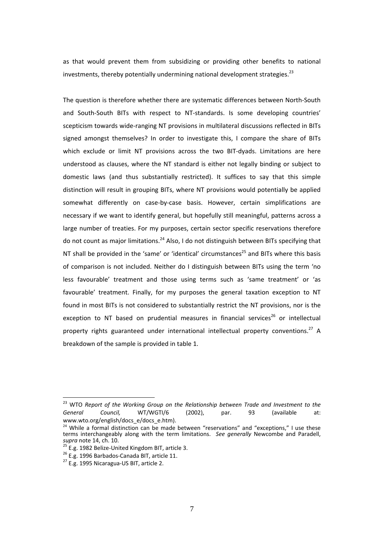as that would prevent them from subsidizing or providing other benefits to national investments, thereby potentially undermining national development strategies.<sup>23</sup>

The question is therefore whether there are systematic differences between North‐South and South-South BITs with respect to NT-standards. Is some developing countries' scepticism towards wide‐ranging NT provisions in multilateral discussions reflected in BITs signed amongst themselves? In order to investigate this, I compare the share of BITs which exclude or limit NT provisions across the two BIT-dyads. Limitations are here understood as clauses, where the NT standard is either not legally binding or subject to domestic laws (and thus substantially restricted). It suffices to say that this simple distinction will result in grouping BITs, where NT provisions would potentially be applied somewhat differently on case-by-case basis. However, certain simplifications are necessary if we want to identify general, but hopefully still meaningful, patterns across a large number of treaties. For my purposes, certain sector specific reservations therefore do not count as major limitations.<sup>24</sup> Also, I do not distinguish between BITs specifying that NT shall be provided in the 'same' or 'identical' circumstances<sup>25</sup> and BITs where this basis of comparison is not included. Neither do I distinguish between BITs using the term 'no less favourable' treatment and those using terms such as 'same treatment' or 'as favourable' treatment. Finally, for my purposes the general taxation exception to NT found in most BITs is not considered to substantially restrict the NT provisions, nor is the exception to NT based on prudential measures in financial services<sup>26</sup> or intellectual property rights guaranteed under international intellectual property conventions.<sup>27</sup> A breakdown of the sample is provided in table 1.

<sup>23</sup> WTO *Report of the Working Group on the Relationship between Trade and Investment to the General Council,* WT/WGTI/6 (2002), par. 93 (available www.wto.org/english/docs\_e/docs\_e.htm).

 $24$  While a formal distinction can be made between "reservations" and "exceptions," I use these terms interchangeably along with the term limitations. *See generally* Newcombe and Paradell,

<sup>&</sup>lt;sup>25</sup> E.g. 1982 Belize-United Kingdom BIT, article 3.<br><sup>26</sup> E.g. 1996 Barbados-Canada BIT, article 11.<br><sup>27</sup> E.g. 1995 Nicaragua-US BIT, article 2.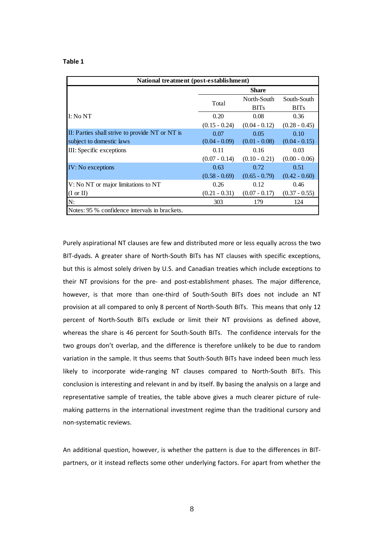| National treatment (post-establishment)         |                 |                 |                 |  |  |
|-------------------------------------------------|-----------------|-----------------|-----------------|--|--|
|                                                 | <b>Share</b>    |                 |                 |  |  |
|                                                 | Total           | North-South     | South-South     |  |  |
|                                                 |                 | <b>BITs</b>     | <b>BITs</b>     |  |  |
| I: No N T                                       | 0.20            | 0.08            | 0.36            |  |  |
|                                                 | $(0.15 - 0.24)$ | $(0.04 - 0.12)$ | $(0.28 - 0.45)$ |  |  |
| II: Parties shall strive to provide NT or NT is | 0.07            | 0.05            | 0.10            |  |  |
| subject to domestic laws                        | $(0.04 - 0.09)$ | $(0.01 - 0.08)$ | $(0.04 - 0.15)$ |  |  |
| III: Specific exceptions                        | 0.11            | 0.16            | 0.03            |  |  |
|                                                 | $(0.07 - 0.14)$ | $(0.10 - 0.21)$ | $(0.00 - 0.06)$ |  |  |
| <b>IV:</b> No exceptions                        | 0.63            | 0.72            | 0.51            |  |  |
|                                                 | $(0.58 - 0.69)$ | $(0.65 - 0.79)$ | $(0.42 - 0.60)$ |  |  |
| V: No NT or major limitations to NT             | 0.26            | 0.12            | 0.46            |  |  |
| $(I \text{ or } II)$                            | $(0.21 - 0.31)$ | $(0.07 - 0.17)$ | $(0.37 - 0.55)$ |  |  |
| N:                                              | 303             | 179             | 124             |  |  |
| Notes: 95 % confidence intervals in brackets.   |                 |                 |                 |  |  |

Purely aspirational NT clauses are few and distributed more or less equally across the two BIT-dyads. A greater share of North-South BITs has NT clauses with specific exceptions, but this is almost solely driven by U.S. and Canadian treaties which include exceptions to their NT provisions for the pre‐ and post‐establishment phases. The major difference, however, is that more than one-third of South-South BITs does not include an NT provision at all compared to only 8 percent of North‐South BITs. This means that only 12 percent of North‐South BITs exclude or limit their NT provisions as defined above, whereas the share is 46 percent for South-South BITs. The confidence intervals for the two groups don't overlap, and the difference is therefore unlikely to be due to random variation in the sample. It thus seems that South‐South BITs have indeed been much less likely to incorporate wide-ranging NT clauses compared to North-South BITs. This conclusion is interesting and relevant in and by itself. By basing the analysis on a large and representative sample of treaties, the table above gives a much clearer picture of rule‐ making patterns in the international investment regime than the traditional cursory and non‐systematic reviews.

An additional question, however, is whether the pattern is due to the differences in BIT‐ partners, or it instead reflects some other underlying factors. For apart from whether the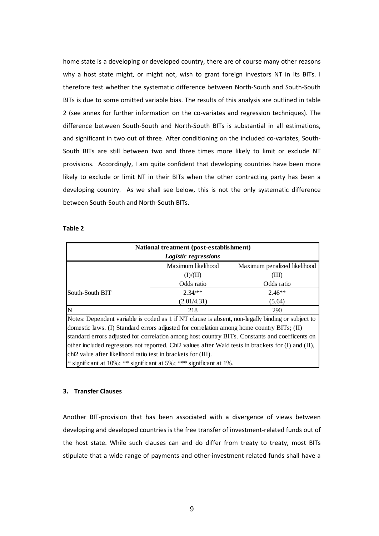home state is a developing or developed country, there are of course many other reasons why a host state might, or might not, wish to grant foreign investors NT in its BITs. I therefore test whether the systematic difference between North‐South and South‐South BITs is due to some omitted variable bias. The results of this analysis are outlined in table 2 (see annex for further information on the co-variates and regression techniques). The difference between South‐South and North‐South BITs is substantial in all estimations, and significant in two out of three. After conditioning on the included co-variates, South-South BITs are still between two and three times more likely to limit or exclude NT provisions. Accordingly, I am quite confident that developing countries have been more likely to exclude or limit NT in their BITs when the other contracting party has been a developing country. As we shall see below, this is not the only systematic difference between South‐South and North‐South BITs.

### **Table 2**

| National treatment (post-establishment)<br>Logistic regressions |                    |                                                                                                  |  |  |
|-----------------------------------------------------------------|--------------------|--------------------------------------------------------------------------------------------------|--|--|
|                                                                 | Maximum likelihood | Maximum penalized likelihood                                                                     |  |  |
|                                                                 | (I)/(II)           | (III)                                                                                            |  |  |
|                                                                 | Odds ratio         | Odds ratio                                                                                       |  |  |
| South-South BIT                                                 | $2.34$ /**         | $2.46**$                                                                                         |  |  |
|                                                                 | (2.01/4.31)        | (5.64)                                                                                           |  |  |
| N                                                               | 218                | 290                                                                                              |  |  |
|                                                                 |                    | Notes: Dependent variable is coded as 1 if NT clause is absent non-legally binding or subject to |  |  |

\* significant at 10%; \*\* significant at 5%; \*\*\* significant at 1%. Notes: Dependent variable is coded as 1 if NT clause is absent, non-legally binding or subject to domestic laws. (I) Standard errors adjusted for correlation among home country BITs; (II) standard errors adjusted for correlation among host country BITs. Constants and coefficents on other included regressors not reported. Chi2 values after Wald tests in brackets for (I) and (II), chi2 value after likelihood ratio test in brackets for (III).

## **3. Transfer Clauses**

Another BIT‐provision that has been associated with a divergence of views between developing and developed countries is the free transfer of investment‐related funds out of the host state. While such clauses can and do differ from treaty to treaty, most BITs stipulate that a wide range of payments and other‐investment related funds shall have a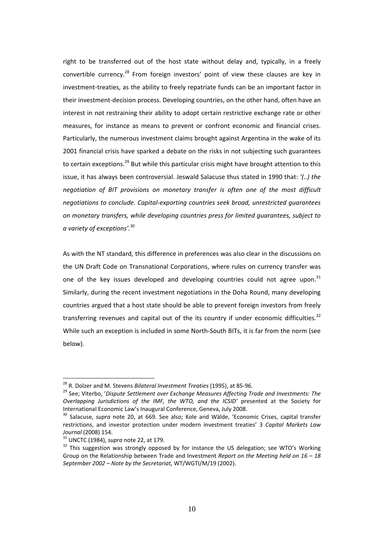right to be transferred out of the host state without delay and, typically, in a freely convertible currency.<sup>28</sup> From foreign investors' point of view these clauses are key in investment‐treaties, as the ability to freely repatriate funds can be an important factor in their investment‐decision process. Developing countries, on the other hand, often have an interest in not restraining their ability to adopt certain restrictive exchange rate or other measures, for instance as means to prevent or confront economic and financial crises. Particularly, the numerous investment claims brought against Argentina in the wake of its 2001 financial crisis have sparked a debate on the risks in not subjecting such guarantees to certain exceptions.<sup>29</sup> But while this particular crisis might have brought attention to this issue, it has always been controversial. Jeswald Salacuse thus stated in 1990 that: *'(..) the negotiation of BIT provisions on monetary transfer is often one of the most difficult negotiations to conclude. Capital‐exporting countries seek broad, unrestricted guarantees on monetary transfers, while developing countries press for limited guarantees, subject to a variety of exceptions'.*<sup>30</sup>

As with the NT standard, this difference in preferences was also clear in the discussions on the UN Draft Code on Transnational Corporations, where rules on currency transfer was one of the key issues developed and developing countries could not agree upon.<sup>31</sup> Similarly, during the recent investment negotiations in the Doha Round, many developing countries argued that a host state should be able to prevent foreign investors from freely transferring revenues and capital out of the its country if under economic difficulties.<sup>32</sup> While such an exception is included in some North-South BITs, it is far from the norm (see below).

<sup>&</sup>lt;sup>28</sup> R. Dolzer and M. Stevens *Bilateral Investment Treaties* (1995), at 85-96.<br><sup>29</sup> See; Viterbo, 'Dispute Settlement over Exchange Measures Affecting Trade and Investments: The *Overlapping Jurisdictions of the IMF, the WTO, and the ICSID'* presented at the Society for International Economic Law's Inaugural Conference, Geneva, July 2008.<br><sup>30</sup> Salacuse, *supra* note 20, at 669. See also; Kole and Wälde, 'Economic Crises, capital transfer

restrictions, and investor protection under modern investment treaties' 3 *Capital Markets Law Journal* (2008) 154.<br><sup>31</sup> UNCTC (1984), *supra* note 22, at 179.<br><sup>32</sup> This suggestion was strongly opposed by for instance the US delegation; see WTO's Working

Group on the Relationship between Trade and Investment *Report on the Meeting held on 16 – 18 September 2002 – Note by the Secretariat,* WT/WGTI/M/19 (2002).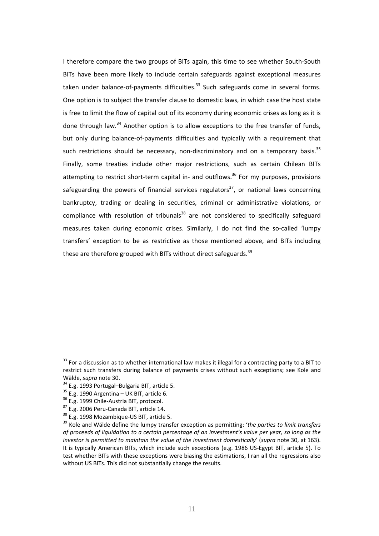I therefore compare the two groups of BITs again, this time to see whether South‐South BITs have been more likely to include certain safeguards against exceptional measures taken under balance-of-payments difficulties. $33$  Such safeguards come in several forms. One option is to subject the transfer clause to domestic laws, in which case the host state is free to limit the flow of capital out of its economy during economic crises as long as it is done through law.<sup>34</sup> Another option is to allow exceptions to the free transfer of funds, but only during balance‐of‐payments difficulties and typically with a requirement that such restrictions should be necessary, non-discriminatory and on a temporary basis.<sup>35</sup> Finally, some treaties include other major restrictions, such as certain Chilean BITs attempting to restrict short-term capital in- and outflows.<sup>36</sup> For my purposes, provisions safeguarding the powers of financial services regulators<sup>37</sup>, or national laws concerning bankruptcy, trading or dealing in securities, criminal or administrative violations, or compliance with resolution of tribunals<sup>38</sup> are not considered to specifically safeguard measures taken during economic crises. Similarly, I do not find the so-called 'lumpy transfers' exception to be as restrictive as those mentioned above, and BITs including these are therefore grouped with BITs without direct safeguards.  $39$ 

<u>.</u>

<sup>&</sup>lt;sup>33</sup> For a discussion as to whether international law makes it illegal for a contracting party to a BIT to restrict such transfers during balance of payments crises without such exceptions; see Kole and

Wälde, supra note 30.<br>
<sup>34</sup> E.g. 1993 Portugal-Bulgaria BIT, article 5.<br>
<sup>35</sup> E.g. 1990 Argentina – UK BIT, article 6.<br>
<sup>36</sup> E.g. 1999 Chile-Austria BIT, protocol.<br>
<sup>37</sup> E.g. 2006 Peru-Canada BIT, article 14.<br>
<sup>38</sup> E.g. 19 of proceeds of liquidation to a certain percentage of an investment's value per vear, so long as the *investor is permitted to maintain the value of the investment domestically*' (*supra* note 30, at 163). It is typically American BITs, which include such exceptions (e.g. 1986 US‐Egypt BIT, article 5). To test whether BITs with these exceptions were biasing the estimations, I ran all the regressions also without US BITs. This did not substantially change the results.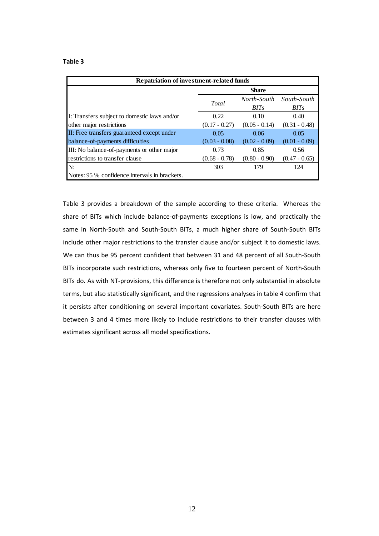| Repatriation of investment-related funds      |                 |                 |                                        |  |  |
|-----------------------------------------------|-----------------|-----------------|----------------------------------------|--|--|
|                                               | <b>Share</b>    |                 |                                        |  |  |
|                                               | Total           | <b>BITs</b>     | North-South South-South<br><b>BITs</b> |  |  |
| I: Transfers subject to domestic laws and/or  | 0.22            | 0.10            | 0.40                                   |  |  |
| other major restrictions                      | $(0.17 - 0.27)$ | $(0.05 - 0.14)$ | $(0.31 - 0.48)$                        |  |  |
| II: Free transfers guaranteed except under    | 0.05            | 0.06            | 0.05                                   |  |  |
| balance-of-payments difficulties              | $(0.03 - 0.08)$ | $(0.02 - 0.09)$ | $(0.01 - 0.09)$                        |  |  |
| III: No balance-of-payments or other major    | 0.73            | 0.85            | 0.56                                   |  |  |
| restrictions to transfer clause               | $(0.68 - 0.78)$ | $(0.80 - 0.90)$ | $(0.47 - 0.65)$                        |  |  |
| N:                                            | 303             | 179             | 124                                    |  |  |
| Notes: 95 % confidence intervals in brackets. |                 |                 |                                        |  |  |

Table 3 provides a breakdown of the sample according to these criteria. Whereas the share of BITs which include balance-of-payments exceptions is low, and practically the same in North-South and South-South BITs, a much higher share of South-South BITs include other major restrictions to the transfer clause and/or subject it to domestic laws. We can thus be 95 percent confident that between 31 and 48 percent of all South‐South BITs incorporate such restrictions, whereas only five to fourteen percent of North‐South BITs do. As with NT‐provisions, this difference is therefore not only substantial in absolute terms, but also statistically significant, and the regressions analyses in table 4 confirm that it persists after conditioning on several important covariates. South‐South BITs are here between 3 and 4 times more likely to include restrictions to their transfer clauses with estimates significant across all model specifications.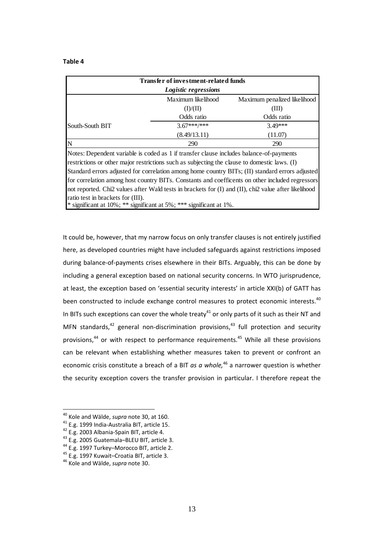| Transfer of investment-related funds<br>Logistic regressions |                    |                              |  |  |
|--------------------------------------------------------------|--------------------|------------------------------|--|--|
|                                                              |                    |                              |  |  |
|                                                              | Maximum likelihood | Maximum penalized likelihood |  |  |
|                                                              | (I)/(II)           | (III)                        |  |  |
|                                                              | Odds ratio         | Odds ratio                   |  |  |
| South-South BIT                                              | $3.67***$ ***      | $3.49***$                    |  |  |
|                                                              | (8.49/13.11)       | (11.07)                      |  |  |
|                                                              | 290                | 290                          |  |  |

Notes: Dependent variable is coded as 1 if transfer clause includes balance-of-payments restrictions or other major restrictions such as subjecting the clause to domestic laws. (I) Standard errors adjusted for correlation among home country BITs; (II) standard errors adjusted for correlation among host country BITs. Constants and coefficents on other included regressors not reported. Chi2 values after Wald tests in brackets for (I) and (II), chi2 value after likelihood ratio test in brackets for (III).

\* significant at 10%; \*\* significant at 5%; \*\*\* significant at 1%.

It could be, however, that my narrow focus on only transfer clauses is not entirely justified here, as developed countries might have included safeguards against restrictions imposed during balance‐of‐payments crises elsewhere in their BITs. Arguably, this can be done by including a general exception based on national security concerns. In WTO jurisprudence, at least, the exception based on 'essential security interests' in article XXI(b) of GATT has been constructed to include exchange control measures to protect economic interests.<sup>40</sup> In BITs such exceptions can cover the whole treaty<sup>41</sup> or only parts of it such as their NT and MFN standards, $42$  general non-discrimination provisions, $43$  full protection and security provisions,<sup>44</sup> or with respect to performance requirements.<sup>45</sup> While all these provisions can be relevant when establishing whether measures taken to prevent or confront an economic crisis constitute a breach of a BIT *as a whole,*<sup>46</sup> a narrower question is whether the security exception covers the transfer provision in particular. I therefore repeat the

<sup>&</sup>lt;sup>40</sup> Kole and Wälde, *supra* note 30, at 160.<br>
<sup>41</sup> E.g. 1999 India-Australia BIT, article 15.<br>
<sup>42</sup> E.g. 2003 Albania-Spain BIT, article 4.<br>
<sup>43</sup> E.g. 2005 Guatemala-BLEU BIT, article 3.<br>
<sup>44</sup> E.g. 1997 Turkey-Morocco BI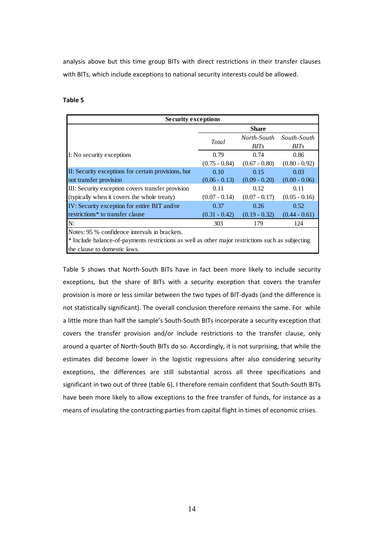analysis above but this time group BITs with direct restrictions in their transfer clauses with BITs, which include exceptions to national security interests could be allowed.

## **Table 5**

| <b>Security exceptions</b>                                                                        |                 |                  |                         |  |  |
|---------------------------------------------------------------------------------------------------|-----------------|------------------|-------------------------|--|--|
|                                                                                                   | <b>Share</b>    |                  |                         |  |  |
|                                                                                                   | Total           |                  | North-South South-South |  |  |
|                                                                                                   |                 | BIT <sub>S</sub> | <b>BITs</b>             |  |  |
| I: No security exceptions                                                                         | 0.79            | 0.74             | 0.86                    |  |  |
|                                                                                                   | $(0.75 - 0.84)$ | $(0.67 - 0.80)$  | $(0.80 - 0.92)$         |  |  |
| II: Security exceptions for certain provisions, but                                               | 0.10            | 0.15             | 0.03                    |  |  |
| not transfer provision                                                                            | $(0.06 - 0.13)$ | $(0.09 - 0.20)$  | $(0.00 - 0.06)$         |  |  |
| III: Security exception covers transfer provision                                                 | 0.11            | 0.12             | 0.11                    |  |  |
| (typically when it covers the whole treaty)                                                       | $(0.07 - 0.14)$ | $(0.07 - 0.17)$  | $(0.05 - 0.16)$         |  |  |
| IV: Security exception for entire BIT and/or                                                      | 0.37            | 0.26             | 0.52                    |  |  |
| restrictions* to transfer clause                                                                  | $(0.31 - 0.42)$ | $(0.19 - 0.32)$  | $(0.44 - 0.61)$         |  |  |
| N:                                                                                                | 303             | 179              | 124                     |  |  |
| Notes: 95 % confidence intervals in brackets.                                                     |                 |                  |                         |  |  |
| * Include balance-of-payments restrictions as well as other major restrictions such as subjecting |                 |                  |                         |  |  |
| the clause to domestic laws.                                                                      |                 |                  |                         |  |  |

Table 5 shows that North‐South BITs have in fact been more likely to include security exceptions, but the share of BITs with a security exception that covers the transfer provision is more or less similar between the two types of BIT‐dyads (and the difference is not statistically significant). The overall conclusion therefore remains the same. For while a little more than half the sample's South‐South BITs incorporate a security exception that covers the transfer provision and/or include restrictions to the transfer clause, only around a quarter of North‐South BITs do so. Accordingly, it is not surprising, that while the estimates did become lower in the logistic regressions after also considering security exceptions, the differences are still substantial across all three specifications and significant in two out of three (table 6). I therefore remain confident that South‐South BITs have been more likely to allow exceptions to the free transfer of funds, for instance as a means of insulating the contracting parties from capital flight in times of economic crises.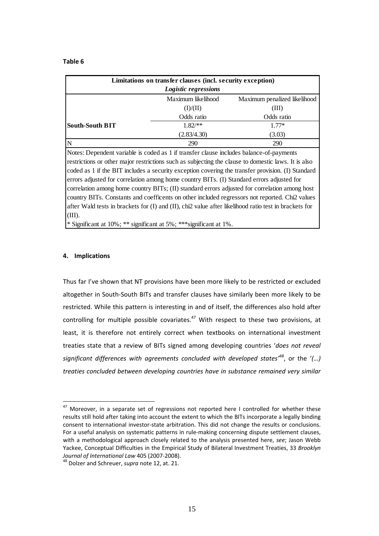| Limitations on transfer clauses (incl. security exception) |             |            |  |  |
|------------------------------------------------------------|-------------|------------|--|--|
| Logistic regressions                                       |             |            |  |  |
| Maximum likelihood<br>Maximum penalized likelihood         |             |            |  |  |
|                                                            | (I)/(II)    | (III)      |  |  |
|                                                            | Odds ratio  | Odds ratio |  |  |
| South-South BIT                                            | $1.82$ /**  | $1.77*$    |  |  |
|                                                            | (2.83/4.30) | (3.03)     |  |  |
|                                                            | 290         | 290        |  |  |

Notes: Dependent variable is coded as 1 if transfer clause includes balance-of-payments restrictions or other major restrictions such as subjecting the clause to domestic laws. It is also coded as 1 if the BIT includes a security exception covering the transfer provision. (I) Standard errors adjusted for correlation among home country BITs. (I) Standard errors adjusted for correlation among home country BITs; (II) standard errors adjusted for correlation among host country BITs. Constants and coefficents on other included regressors not reported. Chi2 values after Wald tests in brackets for (I) and (II), chi2 value after likelihood ratio test in brackets for (III).

\* Significant at 10%; \*\* significant at 5%; \*\*\*significant at 1%.

#### **4. Implications**

1

Thus far I've shown that NT provisions have been more likely to be restricted or excluded altogether in South‐South BITs and transfer clauses have similarly been more likely to be restricted. While this pattern is interesting in and of itself, the differences also hold after controlling for multiple possible covariates. $47$  With respect to these two provisions, at least, it is therefore not entirely correct when textbooks on international investment treaties state that a review of BITs signed among developing countries '*does not reveal significant differences with agreements concluded with developed states'<sup>48</sup>*, or the '*(…) treaties concluded between developing countries have in substance remained very similar*

 $47$  Moreover, in a separate set of regressions not reported here I controlled for whether these results still hold after taking into account the extent to which the BITs incorporate a legally binding consent to international investor‐state arbitration. This did not change the results or conclusions. For a useful analysis on systematic patterns in rule-making concerning dispute settlement clauses, with a methodological approach closely related to the analysis presented here, *see*; Jason Webb Yackee, Conceptual Difficulties in the Empirical Study of Bilateral Investment Treaties, 33 *Brooklyn Journal of International Law 405 (2007-2008).* 48 Dolzer and Schreuer, *supra* note 12, at. 21.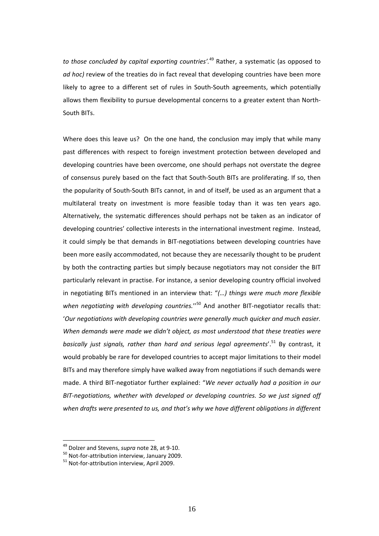*to those concluded by capital exporting countries'.*<sup>49</sup> Rather, a systematic (as opposed to *ad hoc)* review of the treaties do in fact reveal that developing countries have been more likely to agree to a different set of rules in South‐South agreements, which potentially allows them flexibility to pursue developmental concerns to a greater extent than North‐ South BITs.

Where does this leave us? On the one hand, the conclusion may imply that while many past differences with respect to foreign investment protection between developed and developing countries have been overcome, one should perhaps not overstate the degree of consensus purely based on the fact that South‐South BITs are proliferating. If so, then the popularity of South‐South BITs cannot, in and of itself, be used as an argument that a multilateral treaty on investment is more feasible today than it was ten years ago. Alternatively, the systematic differences should perhaps not be taken as an indicator of developing countries' collective interests in the international investment regime. Instead, it could simply be that demands in BIT‐negotiations between developing countries have been more easily accommodated, not because they are necessarily thought to be prudent by both the contracting parties but simply because negotiators may not consider the BIT particularly relevant in practise. For instance, a senior developing country official involved in negotiating BITs mentioned in an interview that: "*(…) things were much more flexible when negotiating with developing countries.*''<sup>50</sup> And another BIT‐negotiator recalls that: '*Our negotiations with developing countries were generally much quicker and much easier. When demands were made we didn't object, as most understood that these treaties were basically just signals, rather than hard and serious legal agreements*'.<sup>51</sup> By contrast, it would probably be rare for developed countries to accept major limitations to their model BITs and may therefore simply have walked away from negotiations if such demands were made. A third BIT‐negotiator further explained: "*We never actually had a position in our BIT‐negotiations, whether with developed or developing countries. So we just signed off when drafts were presented to us, and that's why we have different obligations in different*

<sup>&</sup>lt;sup>49</sup> Dolzer and Stevens, *supra* note 28, at 9-10.<br><sup>50</sup> Not-for-attribution interview, January 2009.<br><sup>51</sup> Not-for-attribution interview, April 2009.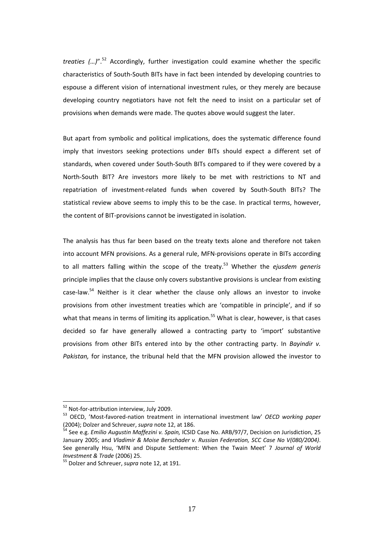*treaties (…)*".<sup>52</sup> Accordingly, further investigation could examine whether the specific characteristics of South‐South BITs have in fact been intended by developing countries to espouse a different vision of international investment rules, or they merely are because developing country negotiators have not felt the need to insist on a particular set of provisions when demands were made. The quotes above would suggest the later.

But apart from symbolic and political implications, does the systematic difference found imply that investors seeking protections under BITs should expect a different set of standards, when covered under South‐South BITs compared to if they were covered by a North‐South BIT? Are investors more likely to be met with restrictions to NT and repatriation of investment‐related funds when covered by South‐South BITs? The statistical review above seems to imply this to be the case. In practical terms, however, the content of BIT‐provisions cannot be investigated in isolation.

The analysis has thus far been based on the treaty texts alone and therefore not taken into account MFN provisions. As a general rule, MFN‐provisions operate in BITs according to all matters falling within the scope of the treaty.53 Whether the *ejusdem generis* principle implies that the clause only covers substantive provisions is unclear from existing case-law. $54$  Neither is it clear whether the clause only allows an investor to invoke provisions from other investment treaties which are 'compatible in principle', and if so what that means in terms of limiting its application.<sup>55</sup> What is clear, however, is that cases decided so far have generally allowed a contracting party to 'import' substantive provisions from other BITs entered into by the other contracting party. In *Bayindir v. Pakistan,* for instance, the tribunal held that the MFN provision allowed the investor to

<sup>52</sup> Not-for-attribution interview, July 2009.<br>
<sup>53</sup> OECD, 'Most-favored-nation treatment in international investment law' *OECD working paper*<br>(2004): Dolzer and Schreuer, *supra* note 12, at 186.

<sup>&</sup>lt;sup>54</sup> See e.g. *Emilio Augustin Maffezini v. Spain,* ICSID Case No. ARB/97/7, Decision on Jurisdiction, 25 January 2005; and *Vladimir & Moise Berschader v. Russian Federation, SCC Case No V(080/2004)*. See generally Hsu, 'MFN and Dispute Settlement: When the Twain Meet' 7 *Journal of World Investment & Trade* (2006) 25.<br><sup>55</sup> Dolzer and Schreuer, *supra* note 12, at 191.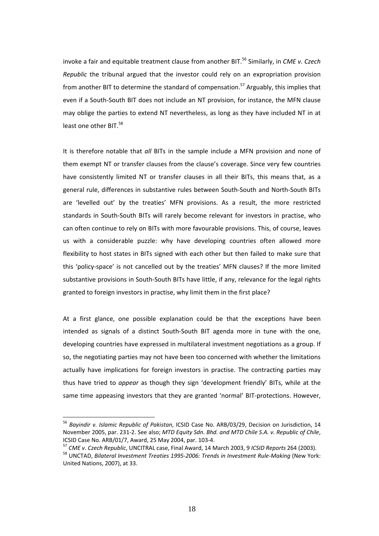invoke a fair and equitable treatment clause from another BIT.<sup>56</sup> Similarly, in *CME v. Czech Republic* the tribunal argued that the investor could rely on an expropriation provision from another BIT to determine the standard of compensation.<sup>57</sup> Arguably, this implies that even if a South‐South BIT does not include an NT provision, for instance, the MFN clause may oblige the parties to extend NT nevertheless, as long as they have included NT in at least one other BIT.<sup>58</sup>

It is therefore notable that *all* BITs in the sample include a MFN provision and none of them exempt NT or transfer clauses from the clause's coverage. Since very few countries have consistently limited NT or transfer clauses in all their BITs, this means that, as a general rule, differences in substantive rules between South‐South and North‐South BITs are 'levelled out' by the treaties' MFN provisions. As a result, the more restricted standards in South‐South BITs will rarely become relevant for investors in practise, who can often continue to rely on BITs with more favourable provisions. This, of course, leaves us with a considerable puzzle: why have developing countries often allowed more flexibility to host states in BITs signed with each other but then failed to make sure that this 'policy‐space' is not cancelled out by the treaties' MFN clauses? If the more limited substantive provisions in South‐South BITs have little, if any, relevance for the legal rights granted to foreign investors in practise, why limit them in the first place?

At a first glance, one possible explanation could be that the exceptions have been intended as signals of a distinct South‐South BIT agenda more in tune with the one, developing countries have expressed in multilateral investment negotiations as a group. If so, the negotiating parties may not have been too concerned with whether the limitations actually have implications for foreign investors in practise. The contracting parties may thus have tried to *appear* as though they sign 'development friendly' BITs, while at the same time appeasing investors that they are granted 'normal' BIT-protections. However,

<sup>56</sup> *Bayindir v. Islamic Republic of Pakistan*, ICSID Case No. ARB/03/29, Decision on Jurisdiction, 14 November 2005, par. 231‐2. See also; *MTD Equity Sdn. Bhd. and MTD Chile S.A. v. Republic of Chile*, ICSID Case No. ARB/01/7, Award, 25 May 2004, par. 103-4.<br><sup>57</sup> CME v. Czech Republic, UNCITRAL case, Final Award, 14 March 2003, 9 ICSID Reports 264 (2003).<br><sup>58</sup> UNCTAD, Bilateral Investment Treaties 1995-2006: Trends in In

United Nations, 2007), at 33.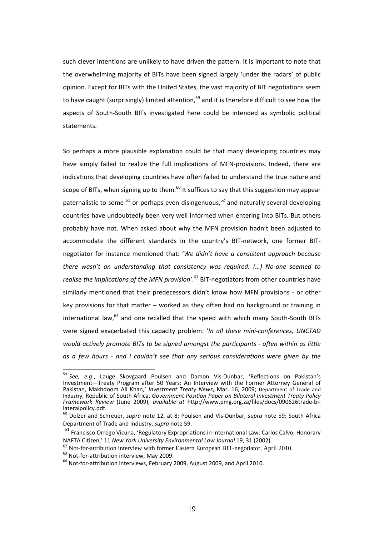such clever intentions are unlikely to have driven the pattern. It is important to note that the overwhelming majority of BITs have been signed largely 'under the radars' of public opinion. Except for BITs with the United States, the vast majority of BIT negotiations seem to have caught (surprisingly) limited attention,  $59$  and it is therefore difficult to see how the aspects of South‐South BITs investigated here could be intended as symbolic political statements.

So perhaps a more plausible explanation could be that many developing countries may have simply failed to realize the full implications of MFN-provisions. Indeed, there are indications that developing countries have often failed to understand the true nature and scope of BITs, when signing up to them.<sup>60</sup> It suffices to say that this suggestion may appear paternalistic to some  $^{61}$  or perhaps even disingenuous,  $^{62}$  and naturally several developing countries have undoubtedly been very well informed when entering into BITs. But others probably have not. When asked about why the MFN provision hadn't been adjusted to accommodate the different standards in the country's BIT‐network, one former BIT‐ negotiator for instance mentioned that: '*We didn't have a consistent approach because there wasn't an understanding that consistency was required. (…) No‐one seemed to realise the implications of the MFN provision'*. <sup>63</sup> BIT‐negotiators from other countries have similarly mentioned that their predecessors didn't know how MFN provisions ‐ or other key provisions for that matter – worked as they often had no background or training in  $intermational law<sup>64</sup>$  and one recalled that the speed with which many South-South BITs were signed exacerbated this capacity problem: '*In all these mini‐conferences, UNCTAD would actively promote BITs to be signed amongst the participants ‐ often within as little as a few hours ‐ and I couldn't see that any serious considerations were given by the*

<sup>59</sup> *See, e.g.*, Lauge Skovgaard Poulsen and Damon Vis‐Dunbar, 'Reflections on Pakistan's Investment—Treaty Program after 50 Years: An Interview with the Former Attorney General of Pakistan, Makhdoom Ali Khan,' *Investment Treaty News*, Mar. 16, 2009; Department of Trade and Industry, Republic of South Africa, *Government Position Paper on Bilateral Investment Treaty Policy Framework Review* (June 2009), *available at* http://www.pmg.org.za/files/docs/090626trade‐bi‐ lateralpolicy.pdf.

<sup>60</sup> Dolzer and Schreuer, *supra* note 12, at 8; Poulsen and Vis‐Dunbar, *supra* note 59; South Africa Department of Trade and Industry, *supra* note 59.

<sup>&</sup>lt;sup>61</sup> Francisco Orrego Vicuna, 'Regulatory Expropriations in International Law: Carlos Calvo, Honorary NAFTA Citizen,' 11 New York University Environmental Law Journal 19, 31 (2002).<br>
<sup>62</sup> Not-for-attribution interview with former Eastern European BIT-negotiator, April 2010.<br>
<sup>63</sup> Not-for-attribution interviews, February 2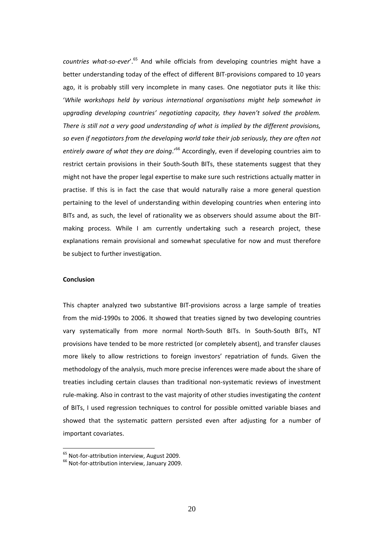*countries what‐so‐ever*'.<sup>65</sup> And while officials from developing countries might have a better understanding today of the effect of different BIT‐provisions compared to 10 years ago, it is probably still very incomplete in many cases. One negotiator puts it like this: '*While workshops held by various international organisations might help somewhat in upgrading developing countries' negotiating capacity, they haven't solved the problem. There is still not a very good understanding of what is implied by the different provisions, so even if negotiators from the developing world take their job seriously, they are often not entirely aware of what they are doing*.'<sup>66</sup> Accordingly, even if developing countries aim to restrict certain provisions in their South‐South BITs, these statements suggest that they might not have the proper legal expertise to make sure such restrictions actually matter in practise. If this is in fact the case that would naturally raise a more general question pertaining to the level of understanding within developing countries when entering into BITs and, as such, the level of rationality we as observers should assume about the BIT‐ making process. While I am currently undertaking such a research project, these explanations remain provisional and somewhat speculative for now and must therefore be subject to further investigation.

### **Conclusion**

This chapter analyzed two substantive BIT‐provisions across a large sample of treaties from the mid‐1990s to 2006. It showed that treaties signed by two developing countries vary systematically from more normal North‐South BITs. In South‐South BITs, NT provisions have tended to be more restricted (or completely absent), and transfer clauses more likely to allow restrictions to foreign investors' repatriation of funds. Given the methodology of the analysis, much more precise inferences were made about the share of treaties including certain clauses than traditional non‐systematic reviews of investment rule‐making. Also in contrast to the vast majority of other studies investigating the *content* of BITs, I used regression techniques to control for possible omitted variable biases and showed that the systematic pattern persisted even after adjusting for a number of important covariates.

<sup>&</sup>lt;sup>65</sup> Not-for-attribution interview, August 2009.

<sup>&</sup>lt;sup>66</sup> Not-for-attribution interview, January 2009.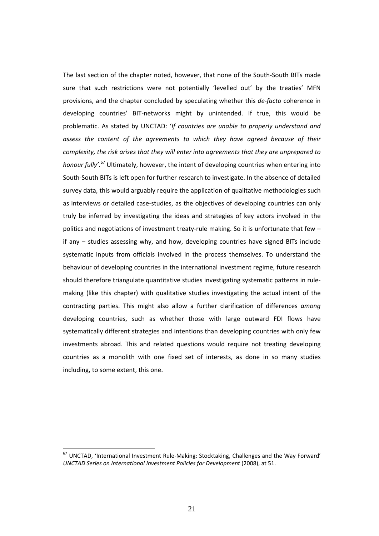The last section of the chapter noted, however, that none of the South‐South BITs made sure that such restrictions were not potentially 'levelled out' by the treaties' MFN provisions, and the chapter concluded by speculating whether this *de‐facto* coherence in developing countries' BIT‐networks might by unintended. If true, this would be problematic. As stated by UNCTAD: '*If countries are unable to properly understand and assess the content of the agreements to which they have agreed because of their complexity, the risk arises that they will enter into agreements that they are unprepared to honour fully'*. <sup>67</sup> Ultimately, however, the intent of developing countries when entering into South‐South BITs is left open for further research to investigate. In the absence of detailed survey data, this would arguably require the application of qualitative methodologies such as interviews or detailed case-studies, as the objectives of developing countries can only truly be inferred by investigating the ideas and strategies of key actors involved in the politics and negotiations of investment treaty-rule making. So it is unfortunate that few – if any – studies assessing why, and how, developing countries have signed BITs include systematic inputs from officials involved in the process themselves. To understand the behaviour of developing countries in the international investment regime, future research should therefore triangulate quantitative studies investigating systematic patterns in rule‐ making (like this chapter) with qualitative studies investigating the actual intent of the contracting parties. This might also allow a further clarification of differences *among* developing countries, such as whether those with large outward FDI flows have systematically different strategies and intentions than developing countries with only few investments abroad. This and related questions would require not treating developing countries as a monolith with one fixed set of interests, as done in so many studies including, to some extent, this one.

<sup>&</sup>lt;sup>67</sup> UNCTAD, 'International Investment Rule-Making: Stocktaking, Challenges and the Way Forward' *UNCTAD Series on International Investment Policies for Development* (2008), at 51.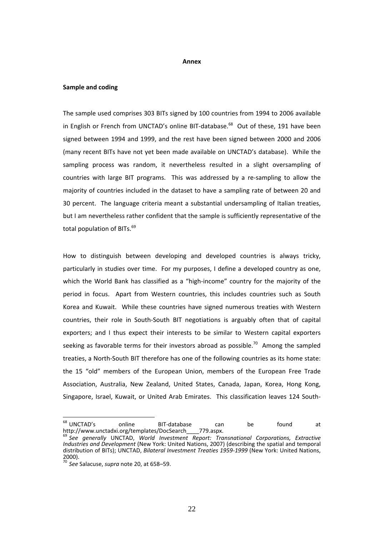#### **Annex**

#### **Sample and coding**

The sample used comprises 303 BITs signed by 100 countries from 1994 to 2006 available in English or French from UNCTAD's online BIT-database.<sup>68</sup> Out of these, 191 have been signed between 1994 and 1999, and the rest have been signed between 2000 and 2006 (many recent BITs have not yet been made available on UNCTAD's database). While the sampling process was random, it nevertheless resulted in a slight oversampling of countries with large BIT programs. This was addressed by a re-sampling to allow the majority of countries included in the dataset to have a sampling rate of between 20 and 30 percent. The language criteria meant a substantial undersampling of Italian treaties, but I am nevertheless rather confident that the sample is sufficiently representative of the total population of BITs.<sup>69</sup>

How to distinguish between developing and developed countries is always tricky, particularly in studies over time. For my purposes, I define a developed country as one, which the World Bank has classified as a "high-income" country for the majority of the period in focus. Apart from Western countries, this includes countries such as South Korea and Kuwait. While these countries have signed numerous treaties with Western countries, their role in South‐South BIT negotiations is arguably often that of capital exporters; and I thus expect their interests to be similar to Western capital exporters seeking as favorable terms for their investors abroad as possible.<sup>70</sup> Among the sampled treaties, a North‐South BIT therefore has one of the following countries as its home state: the 15 "old" members of the European Union, members of the European Free Trade Association, Australia, New Zealand, United States, Canada, Japan, Korea, Hong Kong, Singapore, Israel, Kuwait, or United Arab Emirates. This classification leaves 124 South‐

<sup>&</sup>lt;sup>68</sup> UNCTAD's online BIT-database can be found at http://www.unctadxi.org/templates/DocSearch\_\_\_\_779.aspx. <sup>69</sup> *See generally* UNCTAD, *World Investment Report: Transnational Corporations, Extractive*

*Industries and Development* (New York: United Nations, 2007) (describing the spatial and temporal distribution of BITs); UNCTAD, *Bilateral Investment Treaties 1959‐1999* (New York: United Nations, 2000).

<sup>70</sup> *See* Salacuse, *supra* note 20, at 658–59.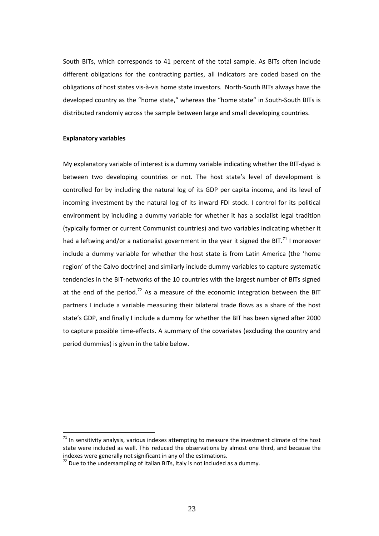South BITs, which corresponds to 41 percent of the total sample. As BITs often include different obligations for the contracting parties, all indicators are coded based on the obligations of host states vis‐à‐vis home state investors. North‐South BITs always have the developed country as the "home state," whereas the "home state" in South‐South BITs is distributed randomly across the sample between large and small developing countries.

#### **Explanatory variables**

1

My explanatory variable of interest is a dummy variable indicating whether the BIT‐dyad is between two developing countries or not. The host state's level of development is controlled for by including the natural log of its GDP per capita income, and its level of incoming investment by the natural log of its inward FDI stock. I control for its political environment by including a dummy variable for whether it has a socialist legal tradition (typically former or current Communist countries) and two variables indicating whether it had a leftwing and/or a nationalist government in the year it signed the BIT.<sup>71</sup> I moreover include a dummy variable for whether the host state is from Latin America (the 'home region' of the Calvo doctrine) and similarly include dummy variables to capture systematic tendencies in the BIT‐networks of the 10 countries with the largest number of BITs signed at the end of the period.<sup>72</sup> As a measure of the economic integration between the BIT partners I include a variable measuring their bilateral trade flows as a share of the host state's GDP, and finally I include a dummy for whether the BIT has been signed after 2000 to capture possible time‐effects. A summary of the covariates (excluding the country and period dummies) is given in the table below.

 $71$  In sensitivity analysis, various indexes attempting to measure the investment climate of the host state were included as well. This reduced the observations by almost one third, and because the indexes were generally not significant in any of the estimations.

 $172$  Due to the undersampling of Italian BITs, Italy is not included as a dummy.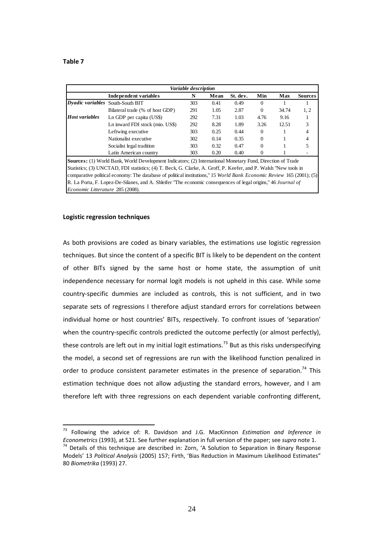<u>.</u>

| Variable description                                                                                            |                                                                                                                              |     |      |          |          |       |                |
|-----------------------------------------------------------------------------------------------------------------|------------------------------------------------------------------------------------------------------------------------------|-----|------|----------|----------|-------|----------------|
|                                                                                                                 | Independent variables                                                                                                        | N   | Mean | St. dev. | Min      | Max   | <b>Sources</b> |
| <b>Dyadic variables</b> South-South BIT                                                                         |                                                                                                                              | 303 | 0.41 | 0.49     | $\theta$ |       |                |
|                                                                                                                 | Bilateral trade (% of host GDP)                                                                                              | 291 | 1.05 | 2.87     | $\Omega$ | 34.74 | 1, 2           |
| <b>Host variables</b>                                                                                           | Ln GDP per capita (US\$)                                                                                                     | 292 | 7.31 | 1.03     | 4.76     | 9.16  |                |
|                                                                                                                 | Ln inward FDI stock (mio. US\$)                                                                                              | 292 | 8.28 | 1.89     | 3.26     | 12.51 | 3              |
|                                                                                                                 | Leftwing executive                                                                                                           | 303 | 0.25 | 0.44     | $\left($ |       | 4              |
|                                                                                                                 | Nationalist executive                                                                                                        | 302 | 0.14 | 0.35     | $\Omega$ |       | 4              |
|                                                                                                                 | Socialist legal tradition                                                                                                    | 303 | 0.32 | 0.47     | $\Omega$ |       |                |
|                                                                                                                 | Latin American country                                                                                                       | 303 | 0.20 | 0.40     | $\Omega$ |       |                |
|                                                                                                                 | <b>Sources:</b> (1) World Bank, World Development Indicators; (2) International Monetary Fund, Direction of Trade            |     |      |          |          |       |                |
| Statistics; (3) UNCTAD, FDI statistics; (4) T. Beck, G. Clarke, A. Groff, P. Keefer, and P. Walsh "New tools in |                                                                                                                              |     |      |          |          |       |                |
|                                                                                                                 | comparative political economy: The database of political institutions," 15 <i>World Bank Economic Review</i> 165 (2001); (5) |     |      |          |          |       |                |
| R. La Porta, F. Lopez-De-Silanes, and A. Shleifer "The economic consequences of legal origins," 46 Journal of   |                                                                                                                              |     |      |          |          |       |                |
| Economic Litterature 285 (2008).                                                                                |                                                                                                                              |     |      |          |          |       |                |

#### **Logistic regression techniques**

As both provisions are coded as binary variables, the estimations use logistic regression techniques. But since the content of a specific BIT is likely to be dependent on the content of other BITs signed by the same host or home state, the assumption of unit independence necessary for normal logit models is not upheld in this case. While some country‐specific dummies are included as controls, this is not sufficient, and in two separate sets of regressions I therefore adjust standard errors for correlations between individual home or host countries' BITs, respectively. To confront issues of 'separation' when the country-specific controls predicted the outcome perfectly (or almost perfectly), these controls are left out in my initial logit estimations.<sup>73</sup> But as this risks underspecifying the model, a second set of regressions are run with the likelihood function penalized in order to produce consistent parameter estimates in the presence of separation.<sup>74</sup> This estimation technique does not allow adjusting the standard errors, however, and I am therefore left with three regressions on each dependent variable confronting different,

<sup>73</sup> Following the advice of: R. Davidson and J.G. MacKinnon *Estimation and Inference in*

<sup>&</sup>lt;sup>74</sup> Details of this technique are described in: Zorn, 'A Solution to Separation in Binary Response Models' 13 *Political Analysis* (2005) 157; Firth, 'Bias Reduction in Maximum Likelihood Estimates" 80 *Biometrika* (1993) 27.